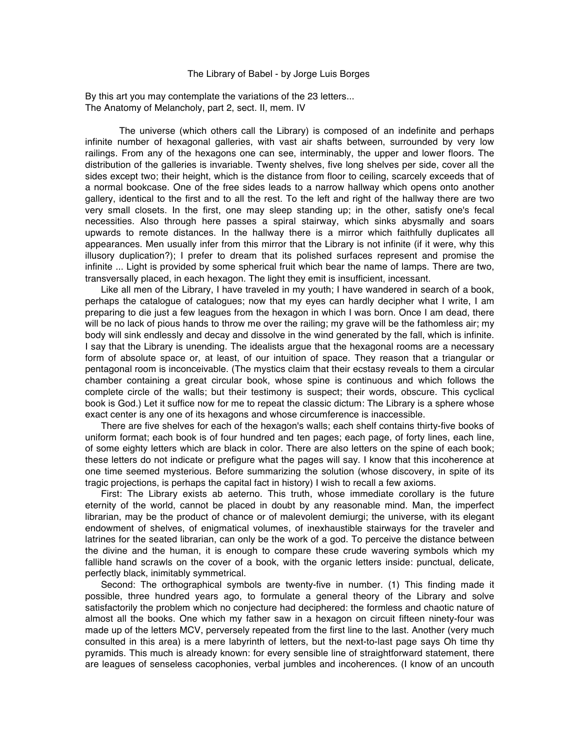## The Library of Babel - by Jorge Luis Borges

By this art you may contemplate the variations of the 23 letters... The Anatomy of Melancholy, part 2, sect. II, mem. IV

 The universe (which others call the Library) is composed of an indefinite and perhaps infinite number of hexagonal galleries, with vast air shafts between, surrounded by very low railings. From any of the hexagons one can see, interminably, the upper and lower floors. The distribution of the galleries is invariable. Twenty shelves, five long shelves per side, cover all the sides except two; their height, which is the distance from floor to ceiling, scarcely exceeds that of a normal bookcase. One of the free sides leads to a narrow hallway which opens onto another gallery, identical to the first and to all the rest. To the left and right of the hallway there are two very small closets. In the first, one may sleep standing up; in the other, satisfy one's fecal necessities. Also through here passes a spiral stairway, which sinks abysmally and soars upwards to remote distances. In the hallway there is a mirror which faithfully duplicates all appearances. Men usually infer from this mirror that the Library is not infinite (if it were, why this illusory duplication?); I prefer to dream that its polished surfaces represent and promise the infinite ... Light is provided by some spherical fruit which bear the name of lamps. There are two, transversally placed, in each hexagon. The light they emit is insufficient, incessant.

 Like all men of the Library, I have traveled in my youth; I have wandered in search of a book, perhaps the catalogue of catalogues; now that my eyes can hardly decipher what I write, I am preparing to die just a few leagues from the hexagon in which I was born. Once I am dead, there will be no lack of pious hands to throw me over the railing; my grave will be the fathomless air; my body will sink endlessly and decay and dissolve in the wind generated by the fall, which is infinite. I say that the Library is unending. The idealists argue that the hexagonal rooms are a necessary form of absolute space or, at least, of our intuition of space. They reason that a triangular or pentagonal room is inconceivable. (The mystics claim that their ecstasy reveals to them a circular chamber containing a great circular book, whose spine is continuous and which follows the complete circle of the walls; but their testimony is suspect; their words, obscure. This cyclical book is God.) Let it suffice now for me to repeat the classic dictum: The Library is a sphere whose exact center is any one of its hexagons and whose circumference is inaccessible.

 There are five shelves for each of the hexagon's walls; each shelf contains thirty-five books of uniform format; each book is of four hundred and ten pages; each page, of forty lines, each line, of some eighty letters which are black in color. There are also letters on the spine of each book; these letters do not indicate or prefigure what the pages will say. I know that this incoherence at one time seemed mysterious. Before summarizing the solution (whose discovery, in spite of its tragic projections, is perhaps the capital fact in history) I wish to recall a few axioms.

 First: The Library exists ab aeterno. This truth, whose immediate corollary is the future eternity of the world, cannot be placed in doubt by any reasonable mind. Man, the imperfect librarian, may be the product of chance or of malevolent demiurgi; the universe, with its elegant endowment of shelves, of enigmatical volumes, of inexhaustible stairways for the traveler and latrines for the seated librarian, can only be the work of a god. To perceive the distance between the divine and the human, it is enough to compare these crude wavering symbols which my fallible hand scrawls on the cover of a book, with the organic letters inside: punctual, delicate, perfectly black, inimitably symmetrical.

 Second: The orthographical symbols are twenty-five in number. (1) This finding made it possible, three hundred years ago, to formulate a general theory of the Library and solve satisfactorily the problem which no conjecture had deciphered: the formless and chaotic nature of almost all the books. One which my father saw in a hexagon on circuit fifteen ninety-four was made up of the letters MCV, perversely repeated from the first line to the last. Another (very much consulted in this area) is a mere labyrinth of letters, but the next-to-last page says Oh time thy pyramids. This much is already known: for every sensible line of straightforward statement, there are leagues of senseless cacophonies, verbal jumbles and incoherences. (I know of an uncouth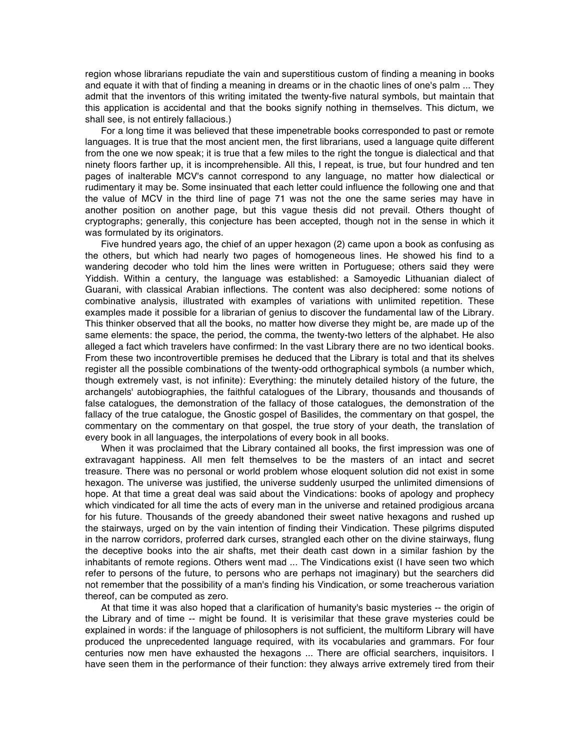region whose librarians repudiate the vain and superstitious custom of finding a meaning in books and equate it with that of finding a meaning in dreams or in the chaotic lines of one's palm ... They admit that the inventors of this writing imitated the twenty-five natural symbols, but maintain that this application is accidental and that the books signify nothing in themselves. This dictum, we shall see, is not entirely fallacious.)

 For a long time it was believed that these impenetrable books corresponded to past or remote languages. It is true that the most ancient men, the first librarians, used a language quite different from the one we now speak; it is true that a few miles to the right the tongue is dialectical and that ninety floors farther up, it is incomprehensible. All this, I repeat, is true, but four hundred and ten pages of inalterable MCV's cannot correspond to any language, no matter how dialectical or rudimentary it may be. Some insinuated that each letter could influence the following one and that the value of MCV in the third line of page 71 was not the one the same series may have in another position on another page, but this vague thesis did not prevail. Others thought of cryptographs; generally, this conjecture has been accepted, though not in the sense in which it was formulated by its originators.

 Five hundred years ago, the chief of an upper hexagon (2) came upon a book as confusing as the others, but which had nearly two pages of homogeneous lines. He showed his find to a wandering decoder who told him the lines were written in Portuguese; others said they were Yiddish. Within a century, the language was established: a Samoyedic Lithuanian dialect of Guarani, with classical Arabian inflections. The content was also deciphered: some notions of combinative analysis, illustrated with examples of variations with unlimited repetition. These examples made it possible for a librarian of genius to discover the fundamental law of the Library. This thinker observed that all the books, no matter how diverse they might be, are made up of the same elements: the space, the period, the comma, the twenty-two letters of the alphabet. He also alleged a fact which travelers have confirmed: In the vast Library there are no two identical books. From these two incontrovertible premises he deduced that the Library is total and that its shelves register all the possible combinations of the twenty-odd orthographical symbols (a number which, though extremely vast, is not infinite): Everything: the minutely detailed history of the future, the archangels' autobiographies, the faithful catalogues of the Library, thousands and thousands of false catalogues, the demonstration of the fallacy of those catalogues, the demonstration of the fallacy of the true catalogue, the Gnostic gospel of Basilides, the commentary on that gospel, the commentary on the commentary on that gospel, the true story of your death, the translation of every book in all languages, the interpolations of every book in all books.

 When it was proclaimed that the Library contained all books, the first impression was one of extravagant happiness. All men felt themselves to be the masters of an intact and secret treasure. There was no personal or world problem whose eloquent solution did not exist in some hexagon. The universe was justified, the universe suddenly usurped the unlimited dimensions of hope. At that time a great deal was said about the Vindications: books of apology and prophecy which vindicated for all time the acts of every man in the universe and retained prodigious arcana for his future. Thousands of the greedy abandoned their sweet native hexagons and rushed up the stairways, urged on by the vain intention of finding their Vindication. These pilgrims disputed in the narrow corridors, proferred dark curses, strangled each other on the divine stairways, flung the deceptive books into the air shafts, met their death cast down in a similar fashion by the inhabitants of remote regions. Others went mad ... The Vindications exist (I have seen two which refer to persons of the future, to persons who are perhaps not imaginary) but the searchers did not remember that the possibility of a man's finding his Vindication, or some treacherous variation thereof, can be computed as zero.

 At that time it was also hoped that a clarification of humanity's basic mysteries -- the origin of the Library and of time -- might be found. It is verisimilar that these grave mysteries could be explained in words: if the language of philosophers is not sufficient, the multiform Library will have produced the unprecedented language required, with its vocabularies and grammars. For four centuries now men have exhausted the hexagons ... There are official searchers, inquisitors. I have seen them in the performance of their function: they always arrive extremely tired from their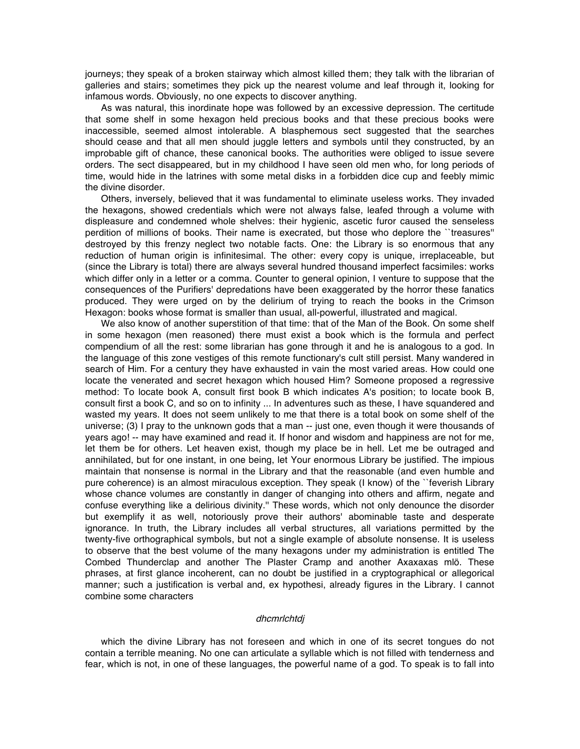journeys; they speak of a broken stairway which almost killed them; they talk with the librarian of galleries and stairs; sometimes they pick up the nearest volume and leaf through it, looking for infamous words. Obviously, no one expects to discover anything.

 As was natural, this inordinate hope was followed by an excessive depression. The certitude that some shelf in some hexagon held precious books and that these precious books were inaccessible, seemed almost intolerable. A blasphemous sect suggested that the searches should cease and that all men should juggle letters and symbols until they constructed, by an improbable gift of chance, these canonical books. The authorities were obliged to issue severe orders. The sect disappeared, but in my childhood I have seen old men who, for long periods of time, would hide in the latrines with some metal disks in a forbidden dice cup and feebly mimic the divine disorder.

 Others, inversely, believed that it was fundamental to eliminate useless works. They invaded the hexagons, showed credentials which were not always false, leafed through a volume with displeasure and condemned whole shelves: their hygienic, ascetic furor caused the senseless perdition of millions of books. Their name is execrated, but those who deplore the ``treasures'' destroyed by this frenzy neglect two notable facts. One: the Library is so enormous that any reduction of human origin is infinitesimal. The other: every copy is unique, irreplaceable, but (since the Library is total) there are always several hundred thousand imperfect facsimiles: works which differ only in a letter or a comma. Counter to general opinion, I venture to suppose that the consequences of the Purifiers' depredations have been exaggerated by the horror these fanatics produced. They were urged on by the delirium of trying to reach the books in the Crimson Hexagon: books whose format is smaller than usual, all-powerful, illustrated and magical.

 We also know of another superstition of that time: that of the Man of the Book. On some shelf in some hexagon (men reasoned) there must exist a book which is the formula and perfect compendium of all the rest: some librarian has gone through it and he is analogous to a god. In the language of this zone vestiges of this remote functionary's cult still persist. Many wandered in search of Him. For a century they have exhausted in vain the most varied areas. How could one locate the venerated and secret hexagon which housed Him? Someone proposed a regressive method: To locate book A, consult first book B which indicates A's position; to locate book B, consult first a book C, and so on to infinity ... In adventures such as these, I have squandered and wasted my years. It does not seem unlikely to me that there is a total book on some shelf of the universe; (3) I pray to the unknown gods that a man -- just one, even though it were thousands of years ago! -- may have examined and read it. If honor and wisdom and happiness are not for me, let them be for others. Let heaven exist, though my place be in hell. Let me be outraged and annihilated, but for one instant, in one being, let Your enormous Library be justified. The impious maintain that nonsense is normal in the Library and that the reasonable (and even humble and pure coherence) is an almost miraculous exception. They speak (I know) of the ``feverish Library whose chance volumes are constantly in danger of changing into others and affirm, negate and confuse everything like a delirious divinity.'' These words, which not only denounce the disorder but exemplify it as well, notoriously prove their authors' abominable taste and desperate ignorance. In truth, the Library includes all verbal structures, all variations permitted by the twenty-five orthographical symbols, but not a single example of absolute nonsense. It is useless to observe that the best volume of the many hexagons under my administration is entitled The Combed Thunderclap and another The Plaster Cramp and another Axaxaxas mlö. These phrases, at first glance incoherent, can no doubt be justified in a cryptographical or allegorical manner; such a justification is verbal and, ex hypothesi, already figures in the Library. I cannot combine some characters

## dhcmrlchtdj

 which the divine Library has not foreseen and which in one of its secret tongues do not contain a terrible meaning. No one can articulate a syllable which is not filled with tenderness and fear, which is not, in one of these languages, the powerful name of a god. To speak is to fall into